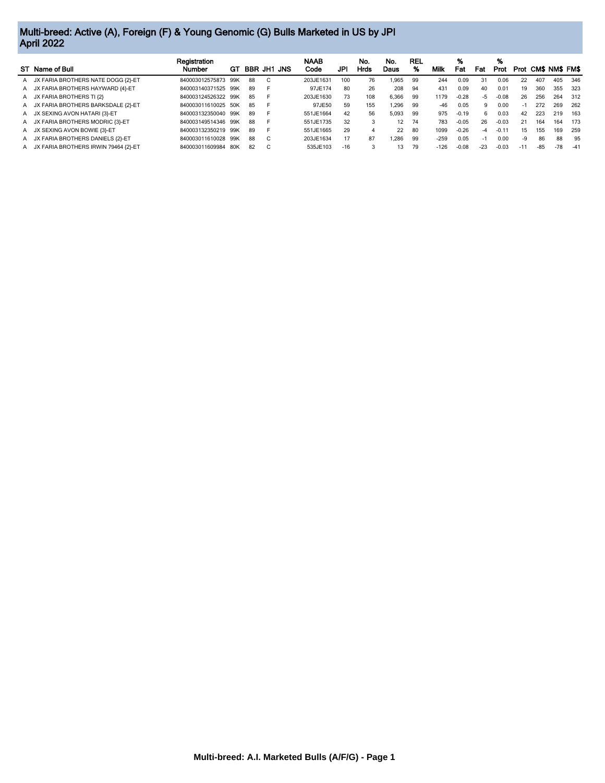## Multi-breed: Active (A), Foreign (F) & Young Genomic (G) Bulls Marketed in US by JPI April 2022

|                                        | Registration        |    |             |          |  | <b>NAAB</b> |       | No.  | No.   | REL |        | %       |       | %       |       |       |                  |       |
|----------------------------------------|---------------------|----|-------------|----------|--|-------------|-------|------|-------|-----|--------|---------|-------|---------|-------|-------|------------------|-------|
| ST Name of Bull                        | <b>Number</b>       | GТ | BBR JH1 JNS |          |  | Code        | JPI   | Hrds | Daus  | %   | Milk   | Fat     | Fat   | Prot    |       |       | Prot CMS NMS FMS |       |
| A JX FARIA BROTHERS NATE DOGG {2}-ET   | 840003012575873 99K |    | 88          | C.       |  | 203JE1631   | 100   | 76   | .965  | 99  | 244    | 0.09    | 31    | 0.06    | 22    | 407   | 405              | 346   |
| A JX FARIA BROTHERS HAYWARD {4}-ET     | 840003140371525 99K |    | 89          | <b>F</b> |  | 97JE174     | 80    | 26   | 208   | 94  | 431    | 0.09    | 40    | 0.01    | 19    | 360   | 355              | 323   |
| A JX FARIA BROTHERS TI {2}             | 840003124526322 99K |    | 85          |          |  | 203JE1630   | 73    | 108  | 6.366 | 99  | 1179   | $-0.28$ | $-5$  | $-0.08$ | 26    | 256   | 264              | 312   |
| A JX FARIA BROTHERS BARKSDALE {2}-ET   | 840003011610025 50K |    | 85          |          |  | 97JE50      | 59    | 155  | .296  | 99  | $-46$  | 0.05    | 9     | 0.00    | $-1$  | 272   | 269              | 262   |
| A JX SEXING AVON HATARI (3)-ET         | 840003132350040 99K |    | 89          | <b>F</b> |  | 551JE1664   | 42    | 56   | 5.093 | 99  | 975    | $-0.19$ | 6.    | 0.03    | 42    | 223   | 219              | 163   |
| A JX FARIA BROTHERS MODRIC {3}-ET      | 840003149514346 99K |    | 88          |          |  | 551JE1735   | 32    |      | 12    | 74  | 783    | $-0.05$ | 26    | $-0.03$ | 21    | 164   | 164              | 173   |
| A JX SEXING AVON BOWIE {3}-ET          | 840003132350219 99K |    | 89          |          |  | 551JE1665   | 29    |      | 22    | -80 | 1099   | $-0.26$ | $-4$  | $-0.11$ | 15    | 155   | 169              | 259   |
| A JX FARIA BROTHERS DANIELS {2}-ET     | 840003011610028 99K |    | 88          | C        |  | 203JE1634   | 17    | 87   | .286  | 99  | $-259$ | 0.05    | $-1$  | 0.00    | -9    | 86    | 88               | 95    |
| A JX FARIA BROTHERS IRWIN 79464 {2}-ET | 840003011609984 80K |    | 82          | C        |  | 535JE103    | $-16$ |      | 13    | 79  | $-126$ | $-0.08$ | $-23$ | $-0.03$ | $-11$ | $-85$ | $-78$            | $-41$ |